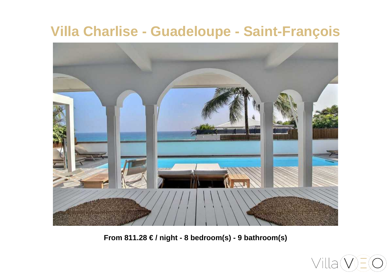# **Villa Charlise - Guadeloupe - Saint-François**



**From 811.28 € / night - 8 bedroom(s) - 9 bathroom(s)**

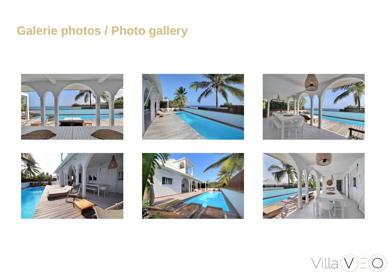## **Galerie photos / Photo gallery**













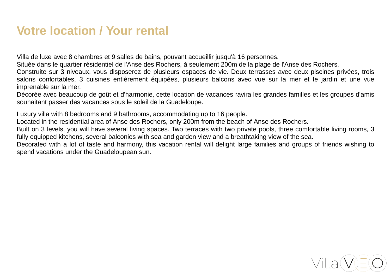#### **Votre location / Your rental**

Villa de luxe avec 8 chambres et 9 salles de bains, pouvant accueillir jusqu'à 16 personnes.

Située dans le quartier résidentiel de l'Anse des Rochers, à seulement 200m de la plage de l'Anse des Rochers.

Construite sur 3 niveaux, vous disposerez de plusieurs espaces de vie. Deux terrasses avec deux piscines privées, trois salons confortables, 3 cuisines entièrement équipées, plusieurs balcons avec vue sur la mer et le jardin et une vue imprenable sur la mer.

Décorée avec beaucoup de goût et d'harmonie, cette location de vacances ravira les grandes familles et les groupes d'amis souhaitant passer des vacances sous le soleil de la Guadeloupe.

Luxury villa with 8 bedrooms and 9 bathrooms, accommodating up to 16 people.

Located in the residential area of Anse des Rochers, only 200m from the beach of Anse des Rochers.

Built on 3 levels, you will have several living spaces. Two terraces with two private pools, three comfortable living rooms, 3 fully equipped kitchens, several balconies with sea and garden view and a breathtaking view of the sea.

Decorated with a lot of taste and harmony, this vacation rental will delight large families and groups of friends wishing to spend vacations under the Guadeloupean sun.

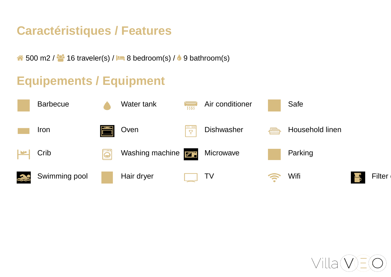# **Caractéristiques / Features**

 $\bigotimes$  500 m2 /  $\bigotimes$  16 traveler(s) /  $\bigotimes$  8 bedroom(s) /  $\bigotimes$  9 bathroom(s)

### **Equipements / Equipment**



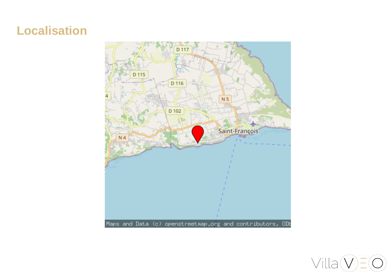#### **Localisation**